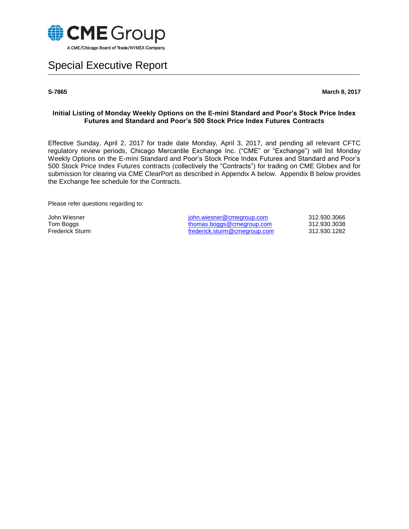

# Special Executive Report

**S-7865 March 8, 2017**

#### **Initial Listing of Monday Weekly Options on the E-mini Standard and Poor's Stock Price Index Futures and Standard and Poor's 500 Stock Price Index Futures Contracts**

Effective Sunday, April 2, 2017 for trade date Monday, April 3, 2017, and pending all relevant CFTC regulatory review periods, Chicago Mercantile Exchange Inc. ("CME" or "Exchange") will list Monday Weekly Options on the E-mini Standard and Poor's Stock Price Index Futures and Standard and Poor's 500 Stock Price Index Futures contracts (collectively the "Contracts") for trading on CME Globex and for submission for clearing via CME ClearPort as described in Appendix A below. Appendix B below provides the Exchange fee schedule for the Contracts.

Please refer questions regarding to:

John Wiesner **School State State State State State State State State State State State State State State State State State State State State State State State State State State State State State State State State State Sta** Tom Boggs [thomas.boggs@cmegroup.com](mailto:thomas.boggs@cmegroup.com) 312.930.3038<br>
Frederick Sturm 312.930.1282<br>
frederick.sturm@cmegroup.com 312.930.1282 [frederick.sturm@cmegroup.com](mailto:frederick.sturm@cmegroup.com)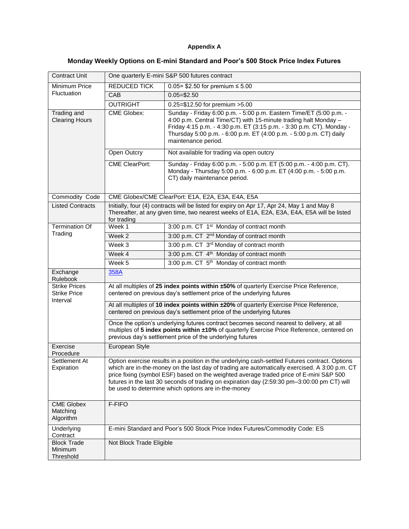### **Appendix A**

## **Monday Weekly Options on E-mini Standard and Poor's 500 Stock Price Index Futures**

| Contract Unit                                           | One quarterly E-mini S&P 500 futures contract                                                                                                                                                                                                                                                                                                                                                                                                   |                                                                                                                                                                                                                                                                                                            |  |
|---------------------------------------------------------|-------------------------------------------------------------------------------------------------------------------------------------------------------------------------------------------------------------------------------------------------------------------------------------------------------------------------------------------------------------------------------------------------------------------------------------------------|------------------------------------------------------------------------------------------------------------------------------------------------------------------------------------------------------------------------------------------------------------------------------------------------------------|--|
| Minimum Price<br>Fluctuation                            | <b>REDUCED TICK</b>                                                                                                                                                                                                                                                                                                                                                                                                                             | 0.05 = \$2.50 for premium $\leq 5.00$                                                                                                                                                                                                                                                                      |  |
|                                                         | CAB                                                                                                                                                                                                                                                                                                                                                                                                                                             | $0.05 = $2.50$                                                                                                                                                                                                                                                                                             |  |
|                                                         | <b>OUTRIGHT</b>                                                                                                                                                                                                                                                                                                                                                                                                                                 | 0.25=\$12.50 for premium >5.00                                                                                                                                                                                                                                                                             |  |
| Trading and<br><b>Clearing Hours</b>                    | <b>CME Globex:</b>                                                                                                                                                                                                                                                                                                                                                                                                                              | Sunday - Friday 6:00 p.m. - 5:00 p.m. Eastern Time/ET (5:00 p.m. -<br>4:00 p.m. Central Time/CT) with 15-minute trading halt Monday -<br>Friday 4:15 p.m. - 4:30 p.m. ET (3:15 p.m. - 3:30 p.m. CT). Monday -<br>Thursday 5:00 p.m. - 6:00 p.m. ET (4:00 p.m. - 5:00 p.m. CT) daily<br>maintenance period. |  |
|                                                         | Open Outcry                                                                                                                                                                                                                                                                                                                                                                                                                                     | Not available for trading via open outcry                                                                                                                                                                                                                                                                  |  |
|                                                         | <b>CME ClearPort:</b>                                                                                                                                                                                                                                                                                                                                                                                                                           | Sunday - Friday 6:00 p.m. - 5:00 p.m. ET (5:00 p.m. - 4:00 p.m. CT).<br>Monday - Thursday 5:00 p.m. - 6:00 p.m. ET (4:00 p.m. - 5:00 p.m.<br>CT) daily maintenance period.                                                                                                                                 |  |
| Commodity Code                                          | CME Globex/CME ClearPort: E1A, E2A, E3A, E4A, E5A                                                                                                                                                                                                                                                                                                                                                                                               |                                                                                                                                                                                                                                                                                                            |  |
| <b>Listed Contracts</b>                                 | Initially, four (4) contracts will be listed for expiry on Apr 17, Apr 24, May 1 and May 8<br>Thereafter, at any given time, two nearest weeks of E1A, E2A, E3A, E4A, E5A will be listed<br>for trading                                                                                                                                                                                                                                         |                                                                                                                                                                                                                                                                                                            |  |
| <b>Termination Of</b>                                   | Week 1                                                                                                                                                                                                                                                                                                                                                                                                                                          | 3:00 p.m. CT 1 <sup>st</sup> Monday of contract month                                                                                                                                                                                                                                                      |  |
| Trading                                                 | Week <sub>2</sub>                                                                                                                                                                                                                                                                                                                                                                                                                               | 3:00 p.m. CT 2 <sup>nd</sup> Monday of contract month                                                                                                                                                                                                                                                      |  |
|                                                         | Week 3                                                                                                                                                                                                                                                                                                                                                                                                                                          | 3:00 p.m. CT 3rd Monday of contract month                                                                                                                                                                                                                                                                  |  |
|                                                         | Week 4                                                                                                                                                                                                                                                                                                                                                                                                                                          | 3:00 p.m. CT 4 <sup>th</sup> Monday of contract month                                                                                                                                                                                                                                                      |  |
|                                                         | Week 5                                                                                                                                                                                                                                                                                                                                                                                                                                          | 3:00 p.m. CT 5 <sup>th</sup> Monday of contract month                                                                                                                                                                                                                                                      |  |
| Exchange<br>Rulebook                                    | 358A                                                                                                                                                                                                                                                                                                                                                                                                                                            |                                                                                                                                                                                                                                                                                                            |  |
| <b>Strike Prices</b><br><b>Strike Price</b><br>Interval | At all multiples of 25 index points within ±50% of quarterly Exercise Price Reference,<br>centered on previous day's settlement price of the underlying futures                                                                                                                                                                                                                                                                                 |                                                                                                                                                                                                                                                                                                            |  |
|                                                         | At all multiples of 10 index points within ±20% of quarterly Exercise Price Reference,<br>centered on previous day's settlement price of the underlying futures                                                                                                                                                                                                                                                                                 |                                                                                                                                                                                                                                                                                                            |  |
|                                                         | Once the option's underlying futures contract becomes second nearest to delivery, at all<br>multiples of 5 index points within ±10% of quarterly Exercise Price Reference, centered on<br>previous day's settlement price of the underlying futures                                                                                                                                                                                             |                                                                                                                                                                                                                                                                                                            |  |
| Exercise<br>Procedure                                   | European Style                                                                                                                                                                                                                                                                                                                                                                                                                                  |                                                                                                                                                                                                                                                                                                            |  |
| Settlement At<br>Expiration                             | Option exercise results in a position in the underlying cash-settled Futures contract. Options<br>which are in-the-money on the last day of trading are automatically exercised. A 3:00 p.m. CT<br>price fixing (symbol ESF) based on the weighted average traded price of E-mini S&P 500<br>futures in the last 30 seconds of trading on expiration day (2:59:30 pm-3:00:00 pm CT) will<br>be used to determine which options are in-the-money |                                                                                                                                                                                                                                                                                                            |  |
| <b>CME Globex</b><br>Matching<br>Algorithm              | F-FIFO                                                                                                                                                                                                                                                                                                                                                                                                                                          |                                                                                                                                                                                                                                                                                                            |  |
| Underlying<br>Contract                                  |                                                                                                                                                                                                                                                                                                                                                                                                                                                 | E-mini Standard and Poor's 500 Stock Price Index Futures/Commodity Code: ES                                                                                                                                                                                                                                |  |
| <b>Block Trade</b><br>Minimum<br>Threshold              | Not Block Trade Eligible                                                                                                                                                                                                                                                                                                                                                                                                                        |                                                                                                                                                                                                                                                                                                            |  |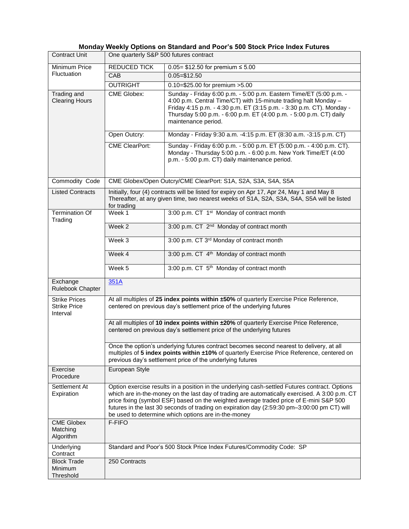### **Monday Weekly Options on Standard and Poor's 500 Stock Price Index Futures**

| <b>Contract Unit</b>                                    | One quarterly S&P 500 futures contract                                                                                                                                                                                                                                                                                                                                                                                                          |                                                                                                                                                                                                                                                                                                            |  |
|---------------------------------------------------------|-------------------------------------------------------------------------------------------------------------------------------------------------------------------------------------------------------------------------------------------------------------------------------------------------------------------------------------------------------------------------------------------------------------------------------------------------|------------------------------------------------------------------------------------------------------------------------------------------------------------------------------------------------------------------------------------------------------------------------------------------------------------|--|
| Minimum Price<br>Fluctuation                            | <b>REDUCED TICK</b>                                                                                                                                                                                                                                                                                                                                                                                                                             | $0.05 = $12.50$ for premium ≤ 5.00                                                                                                                                                                                                                                                                         |  |
|                                                         | <b>CAB</b>                                                                                                                                                                                                                                                                                                                                                                                                                                      | $0.05 = $12.50$                                                                                                                                                                                                                                                                                            |  |
|                                                         | <b>OUTRIGHT</b>                                                                                                                                                                                                                                                                                                                                                                                                                                 | $0.10 = $25.00$ for premium $>5.00$                                                                                                                                                                                                                                                                        |  |
| Trading and<br><b>Clearing Hours</b>                    | <b>CME Globex:</b>                                                                                                                                                                                                                                                                                                                                                                                                                              | Sunday - Friday 6:00 p.m. - 5:00 p.m. Eastern Time/ET (5:00 p.m. -<br>4:00 p.m. Central Time/CT) with 15-minute trading halt Monday -<br>Friday 4:15 p.m. - 4:30 p.m. ET (3:15 p.m. - 3:30 p.m. CT). Monday -<br>Thursday 5:00 p.m. - 6:00 p.m. ET (4:00 p.m. - 5:00 p.m. CT) daily<br>maintenance period. |  |
|                                                         | Open Outcry:                                                                                                                                                                                                                                                                                                                                                                                                                                    | Monday - Friday 9:30 a.m. -4:15 p.m. ET (8:30 a.m. -3:15 p.m. CT)                                                                                                                                                                                                                                          |  |
|                                                         | <b>CME ClearPort:</b>                                                                                                                                                                                                                                                                                                                                                                                                                           | Sunday - Friday 6:00 p.m. - 5:00 p.m. ET (5:00 p.m. - 4:00 p.m. CT).<br>Monday - Thursday 5:00 p.m. - 6:00 p.m. New York Time/ET (4:00<br>p.m. - 5:00 p.m. CT) daily maintenance period.                                                                                                                   |  |
| Commodity Code                                          | CME Globex/Open Outcry/CME ClearPort: S1A, S2A, S3A, S4A, S5A                                                                                                                                                                                                                                                                                                                                                                                   |                                                                                                                                                                                                                                                                                                            |  |
| <b>Listed Contracts</b>                                 | Initially, four (4) contracts will be listed for expiry on Apr 17, Apr 24, May 1 and May 8<br>Thereafter, at any given time, two nearest weeks of S1A, S2A, S3A, S4A, S5A will be listed<br>for trading                                                                                                                                                                                                                                         |                                                                                                                                                                                                                                                                                                            |  |
| Termination Of<br>Trading                               | Week 1                                                                                                                                                                                                                                                                                                                                                                                                                                          | 3:00 p.m. CT 1 <sup>st</sup> Monday of contract month                                                                                                                                                                                                                                                      |  |
|                                                         | Week 2                                                                                                                                                                                                                                                                                                                                                                                                                                          | 3:00 p.m. CT 2 <sup>nd</sup> Monday of contract month                                                                                                                                                                                                                                                      |  |
|                                                         | Week 3                                                                                                                                                                                                                                                                                                                                                                                                                                          | 3:00 p.m. CT 3rd Monday of contract month                                                                                                                                                                                                                                                                  |  |
|                                                         | Week 4                                                                                                                                                                                                                                                                                                                                                                                                                                          | 3:00 p.m. CT 4 <sup>th</sup> Monday of contract month                                                                                                                                                                                                                                                      |  |
|                                                         | Week 5                                                                                                                                                                                                                                                                                                                                                                                                                                          | 3:00 p.m. CT 5 <sup>th</sup> Monday of contract month                                                                                                                                                                                                                                                      |  |
| Exchange<br>Rulebook Chapter                            | 351A                                                                                                                                                                                                                                                                                                                                                                                                                                            |                                                                                                                                                                                                                                                                                                            |  |
| <b>Strike Prices</b><br><b>Strike Price</b><br>Interval | At all multiples of 25 index points within ±50% of quarterly Exercise Price Reference,<br>centered on previous day's settlement price of the underlying futures                                                                                                                                                                                                                                                                                 |                                                                                                                                                                                                                                                                                                            |  |
|                                                         | At all multiples of 10 index points within ±20% of quarterly Exercise Price Reference,<br>centered on previous day's settlement price of the underlying futures                                                                                                                                                                                                                                                                                 |                                                                                                                                                                                                                                                                                                            |  |
|                                                         | Once the option's underlying futures contract becomes second nearest to delivery, at all<br>multiples of 5 index points within ±10% of quarterly Exercise Price Reference, centered on<br>previous day's settlement price of the underlying futures                                                                                                                                                                                             |                                                                                                                                                                                                                                                                                                            |  |
| Exercise<br>Procedure                                   | European Style                                                                                                                                                                                                                                                                                                                                                                                                                                  |                                                                                                                                                                                                                                                                                                            |  |
| Settlement At<br>Expiration                             | Option exercise results in a position in the underlying cash-settled Futures contract. Options<br>which are in-the-money on the last day of trading are automatically exercised. A 3:00 p.m. CT<br>price fixing (symbol ESF) based on the weighted average traded price of E-mini S&P 500<br>futures in the last 30 seconds of trading on expiration day (2:59:30 pm-3:00:00 pm CT) will<br>be used to determine which options are in-the-money |                                                                                                                                                                                                                                                                                                            |  |
| <b>CME Globex</b><br>Matching<br>Algorithm              | F-FIFO                                                                                                                                                                                                                                                                                                                                                                                                                                          |                                                                                                                                                                                                                                                                                                            |  |
| Underlying<br>Contract                                  | Standard and Poor's 500 Stock Price Index Futures/Commodity Code: SP                                                                                                                                                                                                                                                                                                                                                                            |                                                                                                                                                                                                                                                                                                            |  |
| <b>Block Trade</b><br>Minimum<br>Threshold              | 250 Contracts                                                                                                                                                                                                                                                                                                                                                                                                                                   |                                                                                                                                                                                                                                                                                                            |  |